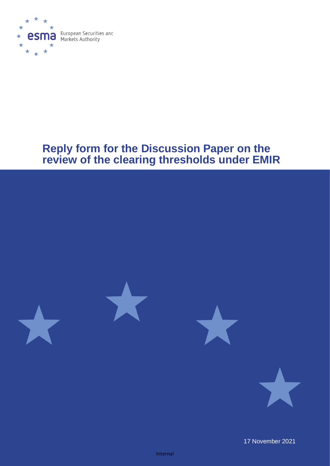

# **Reply form for the Discussion Paper on the review of the clearing thresholds under EMIR**



17 November 2021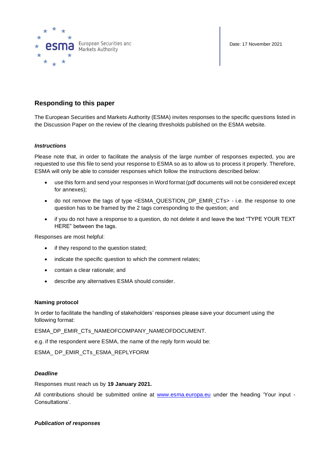

Date: 17 November 2021

## **Responding to this paper**

The European Securities and Markets Authority (ESMA) invites responses to the specific questions listed in the Discussion Paper on the review of the clearing thresholds published on the ESMA website.

## *Instructions*

Please note that, in order to facilitate the analysis of the large number of responses expected, you are requested to use this file to send your response to ESMA so as to allow us to process it properly. Therefore, ESMA will only be able to consider responses which follow the instructions described below:

- use this form and send your responses in Word format (pdf documents will not be considered except for annexes);
- do not remove the tags of type <ESMA\_QUESTION\_DP\_EMIR\_CTs> i.e. the response to one question has to be framed by the 2 tags corresponding to the question; and
- if you do not have a response to a question, do not delete it and leave the text "TYPE YOUR TEXT HERE" between the tags.

Responses are most helpful:

- if they respond to the question stated;
- indicate the specific question to which the comment relates;
- contain a clear rationale; and
- describe any alternatives ESMA should consider.

### **Naming protocol**

In order to facilitate the handling of stakeholders' responses please save your document using the following format:

ESMA\_DP\_EMIR\_CTs\_NAMEOFCOMPANY\_NAMEOFDOCUMENT.

e.g. if the respondent were ESMA, the name of the reply form would be:

ESMA\_ DP\_EMIR\_CTs\_ESMA\_REPLYFORM

### *Deadline*

Responses must reach us by **19 January 2021.**

All contributions should be submitted online at [www.esma.europa.eu](http://www.esma.europa.eu/) under the heading 'Your input -Consultations'.

### *Publication of responses*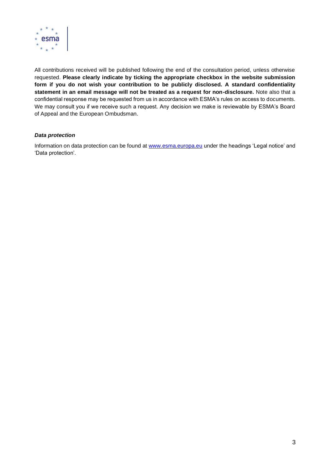

All contributions received will be published following the end of the consultation period, unless otherwise requested. **Please clearly indicate by ticking the appropriate checkbox in the website submission form if you do not wish your contribution to be publicly disclosed. A standard confidentiality statement in an email message will not be treated as a request for non-disclosure.** Note also that a confidential response may be requested from us in accordance with ESMA's rules on access to documents. We may consult you if we receive such a request. Any decision we make is reviewable by ESMA's Board of Appeal and the European Ombudsman.

## *Data protection*

Information on data protection can be found at [www.esma.europa.eu](http://www.esma.europa.eu/) under the headings 'Legal notice' and 'Data protection'.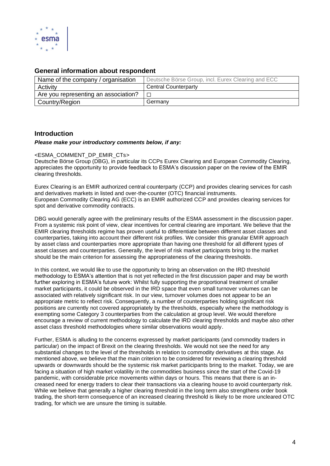

## **General information about respondent**

| Name of the company / organisation   | Deutsche Börse Group, incl. Eurex Clearing and ECC |
|--------------------------------------|----------------------------------------------------|
| Activity                             | <b>Central Counterparty</b>                        |
| Are you representing an association? |                                                    |
| Country/Region                       | Germany                                            |

## **Introduction**

#### *Please make your introductory comments below, if any:*

### <ESMA\_COMMENT\_DP\_EMIR\_CTs>

Deutsche Börse Group (DBG), in particular its CCPs Eurex Clearing and European Commodity Clearing, appreciates the opportunity to provide feedback to ESMA's discussion paper on the review of the EMIR clearing thresholds.

Eurex Clearing is an EMIR authorized central counterparty (CCP) and provides clearing services for cash and derivatives markets in listed and over-the-counter (OTC) financial instruments. European Commodity Clearing AG (ECC) is an EMIR authorized CCP and provides clearing services for spot and derivative commodity contracts.

DBG would generally agree with the preliminary results of the ESMA assessment in the discussion paper. From a systemic risk point of view, clear incentives for central clearing are important. We believe that the EMIR clearing thresholds regime has proven useful to differentiate between different asset classes and counterparties, taking into account their different risk profiles. We consider this granular EMIR approach by asset class and counterparties more appropriate than having one threshold for all different types of asset classes and counterparties. Generally, the level of risk market participants bring to the market should be the main criterion for assessing the appropriateness of the clearing thresholds.

In this context, we would like to use the opportunity to bring an observation on the IRD threshold methodology to ESMA's attention that is not yet reflected in the first discussion paper and may be worth further exploring in ESMA's future work: Whilst fully supporting the proportional treatment of smaller market participants, it could be observed in the IRD space that even small turnover volumes can be associated with relatively significant risk. In our view, turnover volumes does not appear to be an appropriate metric to reflect risk. Consequently, a number of counterparties holding significant risk positions are currently not covered appropriately by the thresholds, especially where the methodology is exempting some Category 3 counterparties from the calculation at group level. We would therefore encourage a review of current methodology to calculate the IRD clearing thresholds and maybe also other asset class threshold methodologies where similar observations would apply.

Further, ESMA is alluding to the concerns expressed by market participants (and commodity traders in particular) on the impact of Brexit on the clearing thresholds. We would not see the need for any substantial changes to the level of the thresholds in relation to commodity derivatives at this stage. As mentioned above, we believe that the main criterion to be considered for reviewing a clearing threshold upwards or downwards should be the systemic risk market participants bring to the market. Today, we are facing a situation of high market volatility in the commodities business since the start of the Covid-19 pandemic, with considerable price movements within days or hours. This means that there is an increased need for energy traders to clear their transactions via a clearing house to avoid counterparty risk. While we believe that generally a higher clearing threshold in the long term also strengthens order book trading, the short-term consequence of an increased clearing threshold is likely to be more uncleared OTC trading, for which we are unsure the timing is suitable.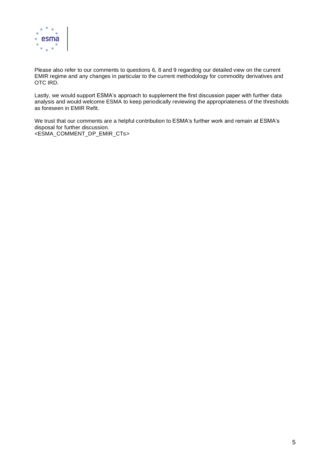

Please also refer to our comments to questions 6, 8 and 9 regarding our detailed view on the current EMIR regime and any changes in particular to the current methodology for commodity derivatives and OTC IRD.

Lastly, we would support ESMA's approach to supplement the first discussion paper with further data analysis and would welcome ESMA to keep periodically reviewing the appropriateness of the thresholds as foreseen in EMIR Refit.

We trust that our comments are a helpful contribution to ESMA's further work and remain at ESMA's disposal for further discussion. <ESMA\_COMMENT\_DP\_EMIR\_CTs>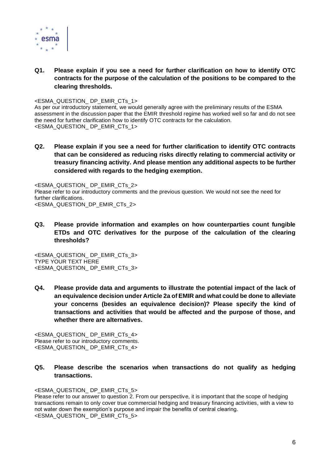

## **Q1. Please explain if you see a need for further clarification on how to identify OTC contracts for the purpose of the calculation of the positions to be compared to the clearing thresholds.**

<ESMA\_QUESTION\_ DP\_EMIR\_CTs\_1>

As per our introductory statement, we would generally agree with the preliminary results of the ESMA assessment in the discussion paper that the EMIR threshold regime has worked well so far and do not see the need for further clarification how to identify OTC contracts for the calculation. <ESMA\_QUESTION\_ DP\_EMIR\_CTs\_1>

**Q2. Please explain if you see a need for further clarification to identify OTC contracts that can be considered as reducing risks directly relating to commercial activity or treasury financing activity. And please mention any additional aspects to be further considered with regards to the hedging exemption.**

<ESMA\_QUESTION\_ DP\_EMIR\_CTs\_2> Please refer to our introductory comments and the previous question. We would not see the need for further clarifications. <ESMA\_QUESTION\_DP\_EMIR\_CTs\_2>

**Q3. Please provide information and examples on how counterparties count fungible ETDs and OTC derivatives for the purpose of the calculation of the clearing thresholds?**

<ESMA\_QUESTION\_ DP\_EMIR\_CTs\_3> TYPE YOUR TEXT HERE <ESMA\_QUESTION\_ DP\_EMIR\_CTs\_3>

**Q4. Please provide data and arguments to illustrate the potential impact of the lack of an equivalence decision under Article 2a of EMIR and what could be done to alleviate your concerns (besides an equivalence decision)? Please specify the kind of transactions and activities that would be affected and the purpose of those, and whether there are alternatives.**

<ESMA\_QUESTION\_ DP\_EMIR\_CTs\_4> Please refer to our introductory comments. <ESMA\_QUESTION\_ DP\_EMIR\_CTs\_4>

**Q5. Please describe the scenarios when transactions do not qualify as hedging transactions.**

<ESMA\_QUESTION\_ DP\_EMIR\_CTs\_5>

Please refer to our answer to question 2. From our perspective, it is important that the scope of hedging transactions remain to only cover true commercial hedging and treasury financing activities, with a view to not water down the exemption's purpose and impair the benefits of central clearing. <ESMA\_QUESTION\_ DP\_EMIR\_CTs\_5>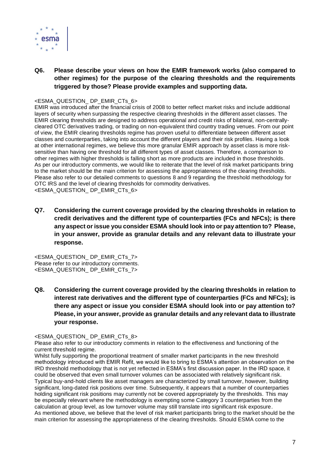

## **Q6. Please describe your views on how the EMIR framework works (also compared to other regimes) for the purpose of the clearing thresholds and the requirements triggered by those? Please provide examples and supporting data.**

### <ESMA\_QUESTION\_ DP\_EMIR\_CTs\_6>

EMIR was introduced after the financial crisis of 2008 to better reflect market risks and include additional layers of security when surpassing the respective clearing thresholds in the different asset classes. The EMIR clearing thresholds are designed to address operational and credit risks of bilateral, non-centrallycleared OTC derivatives trading, or trading on non-equivalent third country trading venues. From our point of view, the EMIR clearing thresholds regime has proven useful to differentiate between different asset classes and counterparties, taking into account the different players and their risk profiles. Having a look at other international regimes, we believe this more granular EMIR approach by asset class is more risksensitive than having one threshold for all different types of asset classes. Therefore, a comparison to other regimes with higher thresholds is falling short as more products are included in those thresholds. As per our introductory comments, we would like to reiterate that the level of risk market participants bring to the market should be the main criterion for assessing the appropriateness of the clearing thresholds. Please also refer to our detailed comments to questions 8 and 9 regarding the threshold methodology for OTC IRS and the level of clearing thresholds for commodity derivatives. <ESMA\_QUESTION\_ DP\_EMIR\_CTs\_6>

**Q7. Considering the current coverage provided by the clearing thresholds in relation to credit derivatives and the different type of counterparties (FCs and NFCs); is there any aspect or issue you consider ESMA should look into or pay attention to? Please, in your answer, provide as granular details and any relevant data to illustrate your response.**

<ESMA\_QUESTION\_ DP\_EMIR\_CTs\_7> Please refer to our introductory comments. <ESMA\_QUESTION\_ DP\_EMIR\_CTs\_7>

**Q8. Considering the current coverage provided by the clearing thresholds in relation to interest rate derivatives and the different type of counterparties (FCs and NFCs); is there any aspect or issue you consider ESMA should look into or pay attention to? Please, in your answer, provide as granular details and any relevant data to illustrate your response.**

## <ESMA\_QUESTION\_ DP\_EMIR\_CTs\_8>

Please also refer to our introductory comments in relation to the effectiveness and functioning of the current threshold regime.

Whilst fully supporting the proportional treatment of smaller market participants in the new threshold methodology introduced with EMIR Refit, we would like to bring to ESMA's attention an observation on the IRD threshold methodology that is not yet reflected in ESMA's first discussion paper. In the IRD space, it could be observed that even small turnover volumes can be associated with relatively significant risk. Typical buy-and-hold clients like asset managers are characterized by small turnover, however, building significant, long-dated risk positions over time. Subsequently, it appears that a number of counterparties holding significant risk positions may currently not be covered appropriately by the thresholds. This may be especially relevant where the methodology is exempting some Category 3 counterparties from the calculation at group level, as low turnover volume may still translate into significant risk exposure. As mentioned above, we believe that the level of risk market participants bring to the market should be the main criterion for assessing the appropriateness of the clearing thresholds. Should ESMA come to the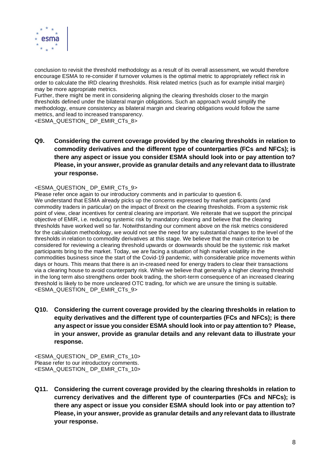

conclusion to revisit the threshold methodology as a result of its overall assessment, we would therefore encourage ESMA to re-consider if turnover volumes is the optimal metric to appropriately reflect risk in order to calculate the IRD clearing thresholds. Risk related metrics (such as for example initial margin) may be more appropriate metrics.

Further, there might be merit in considering aligning the clearing thresholds closer to the margin thresholds defined under the bilateral margin obligations. Such an approach would simplify the methodology, ensure consistency as bilateral margin and clearing obligations would follow the same metrics, and lead to increased transparency.

<ESMA\_QUESTION\_ DP\_EMIR\_CTs\_8>

**Q9. Considering the current coverage provided by the clearing thresholds in relation to commodity derivatives and the different type of counterparties (FCs and NFCs); is there any aspect or issue you consider ESMA should look into or pay attention to? Please, in your answer, provide as granular details and any relevant data to illustrate your response.**

## <ESMA\_QUESTION\_ DP\_EMIR\_CTs\_9>

Please refer once again to our introductory comments and in particular to question 6. We understand that ESMA already picks up the concerns expressed by market participants (and commodity traders in particular) on the impact of Brexit on the clearing thresholds. From a systemic risk point of view, clear incentives for central clearing are important. We reiterate that we support the principal objective of EMIR, i.e. reducing systemic risk by mandatory clearing and believe that the clearing thresholds have worked well so far. Notwithstanding our comment above on the risk metrics considered for the calculation methodology, we would not see the need for any substantial changes to the level of the thresholds in relation to commodity derivatives at this stage. We believe that the main criterion to be considered for reviewing a clearing threshold upwards or downwards should be the systemic risk market participants bring to the market. Today, we are facing a situation of high market volatility in the commodities business since the start of the Covid-19 pandemic, with considerable price movements within days or hours. This means that there is an in-creased need for energy traders to clear their transactions via a clearing house to avoid counterparty risk. While we believe that generally a higher clearing threshold in the long term also strengthens order book trading, the short-term consequence of an increased clearing threshold is likely to be more uncleared OTC trading, for which we are unsure the timing is suitable. <ESMA\_QUESTION\_ DP\_EMIR\_CTs\_9>

**Q10. Considering the current coverage provided by the clearing thresholds in relation to equity derivatives and the different type of counterparties (FCs and NFCs); is there any aspect or issue you consider ESMA should look into or pay attention to? Please, in your answer, provide as granular details and any relevant data to illustrate your response.**

<ESMA\_QUESTION\_ DP\_EMIR\_CTs\_10> Please refer to our introductory comments. <ESMA\_QUESTION\_ DP\_EMIR\_CTs\_10>

**Q11. Considering the current coverage provided by the clearing thresholds in relation to currency derivatives and the different type of counterparties (FCs and NFCs); is there any aspect or issue you consider ESMA should look into or pay attention to? Please, in your answer, provide as granular details and any relevant data to illustrate your response.**